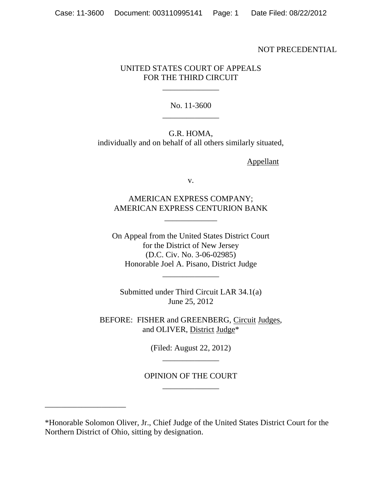#### NOT PRECEDENTIAL

# UNITED STATES COURT OF APPEALS FOR THE THIRD CIRCUIT

\_\_\_\_\_\_\_\_\_\_\_\_\_\_

No. 11-3600 \_\_\_\_\_\_\_\_\_\_\_\_\_\_

G.R. HOMA, individually and on behalf of all others similarly situated,

Appellant

v.

AMERICAN EXPRESS COMPANY; AMERICAN EXPRESS CENTURION BANK

\_\_\_\_\_\_\_\_\_\_\_\_\_

On Appeal from the United States District Court for the District of New Jersey (D.C. Civ. No. 3-06-02985) Honorable Joel A. Pisano, District Judge \_\_\_\_\_\_\_\_\_\_\_\_\_\_

Submitted under Third Circuit LAR 34.1(a) June 25, 2012

BEFORE: FISHER and GREENBERG, Circuit Judges, and OLIVER, District Judge\*

> (Filed: August 22, 2012) \_\_\_\_\_\_\_\_\_\_\_\_\_\_

OPINION OF THE COURT \_\_\_\_\_\_\_\_\_\_\_\_\_\_

\_\_\_\_\_\_\_\_\_\_\_\_\_\_\_\_\_\_\_\_

<sup>\*</sup>Honorable Solomon Oliver, Jr., Chief Judge of the United States District Court for the Northern District of Ohio, sitting by designation.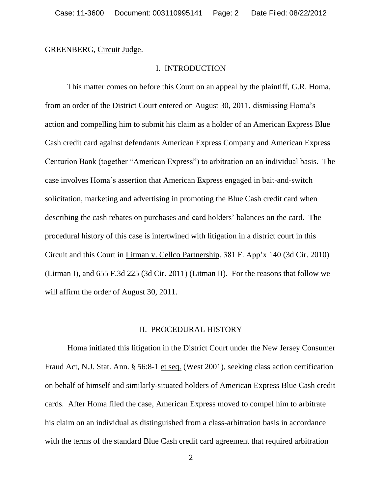GREENBERG, Circuit Judge.

## I. INTRODUCTION

This matter comes on before this Court on an appeal by the plaintiff, G.R. Homa, from an order of the District Court entered on August 30, 2011, dismissing Homa"s action and compelling him to submit his claim as a holder of an American Express Blue Cash credit card against defendants American Express Company and American Express Centurion Bank (together "American Express") to arbitration on an individual basis. The case involves Homa"s assertion that American Express engaged in bait-and-switch solicitation, marketing and advertising in promoting the Blue Cash credit card when describing the cash rebates on purchases and card holders" balances on the card. The procedural history of this case is intertwined with litigation in a district court in this Circuit and this Court in Litman v. Cellco Partnership, 381 F. App"x 140 (3d Cir. 2010) (Litman I), and 655 F.3d 225 (3d Cir. 2011) (Litman II). For the reasons that follow we will affirm the order of August 30, 2011.

## II. PROCEDURAL HISTORY

Homa initiated this litigation in the District Court under the New Jersey Consumer Fraud Act, N.J. Stat. Ann. § 56:8-1 et seq. (West 2001), seeking class action certification on behalf of himself and similarly-situated holders of American Express Blue Cash credit cards. After Homa filed the case, American Express moved to compel him to arbitrate his claim on an individual as distinguished from a class-arbitration basis in accordance with the terms of the standard Blue Cash credit card agreement that required arbitration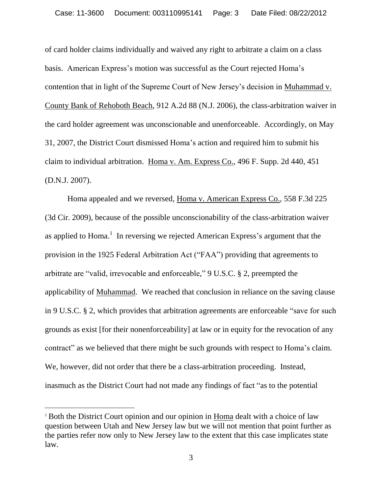of card holder claims individually and waived any right to arbitrate a claim on a class basis. American Express"s motion was successful as the Court rejected Homa"s contention that in light of the Supreme Court of New Jersey"s decision in Muhammad v. County Bank of Rehoboth Beach, 912 A.2d 88 (N.J. 2006), the class-arbitration waiver in the card holder agreement was unconscionable and unenforceable. Accordingly, on May 31, 2007, the District Court dismissed Homa"s action and required him to submit his claim to individual arbitration. Homa v. Am. Express Co., 496 F. Supp. 2d 440, 451 (D.N.J. 2007).

Homa appealed and we reversed, Homa v. American Express Co., 558 F.3d 225 (3d Cir. 2009), because of the possible unconscionability of the class-arbitration waiver as applied to Homa.<sup>1</sup> In reversing we rejected American Express's argument that the provision in the 1925 Federal Arbitration Act ("FAA") providing that agreements to arbitrate are "valid, irrevocable and enforceable," 9 U.S.C. § 2, preempted the applicability of Muhammad. We reached that conclusion in reliance on the saving clause in 9 U.S.C. § 2, which provides that arbitration agreements are enforceable "save for such grounds as exist [for their nonenforceability] at law or in equity for the revocation of any contract" as we believed that there might be such grounds with respect to Homa"s claim. We, however, did not order that there be a class-arbitration proceeding. Instead, inasmuch as the District Court had not made any findings of fact "as to the potential

<sup>1</sup> Both the District Court opinion and our opinion in Homa dealt with a choice of law question between Utah and New Jersey law but we will not mention that point further as the parties refer now only to New Jersey law to the extent that this case implicates state law.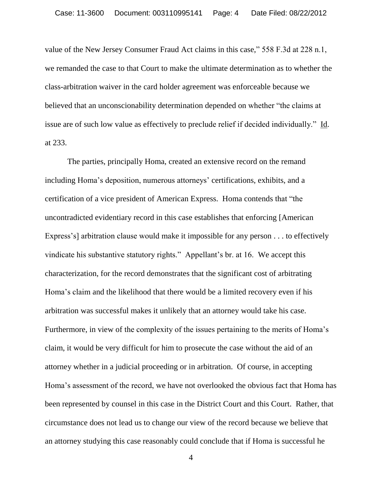value of the New Jersey Consumer Fraud Act claims in this case," 558 F.3d at 228 n.1, we remanded the case to that Court to make the ultimate determination as to whether the class-arbitration waiver in the card holder agreement was enforceable because we believed that an unconscionability determination depended on whether "the claims at issue are of such low value as effectively to preclude relief if decided individually." Id. at 233.

The parties, principally Homa, created an extensive record on the remand including Homa's deposition, numerous attorneys' certifications, exhibits, and a certification of a vice president of American Express. Homa contends that "the uncontradicted evidentiary record in this case establishes that enforcing [American Express's] arbitration clause would make it impossible for any person . . . to effectively vindicate his substantive statutory rights." Appellant"s br. at 16. We accept this characterization, for the record demonstrates that the significant cost of arbitrating Homa"s claim and the likelihood that there would be a limited recovery even if his arbitration was successful makes it unlikely that an attorney would take his case. Furthermore, in view of the complexity of the issues pertaining to the merits of Homa's claim, it would be very difficult for him to prosecute the case without the aid of an attorney whether in a judicial proceeding or in arbitration. Of course, in accepting Homa"s assessment of the record, we have not overlooked the obvious fact that Homa has been represented by counsel in this case in the District Court and this Court. Rather, that circumstance does not lead us to change our view of the record because we believe that an attorney studying this case reasonably could conclude that if Homa is successful he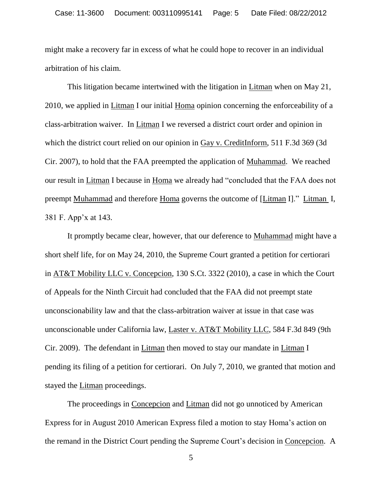might make a recovery far in excess of what he could hope to recover in an individual arbitration of his claim.

This litigation became intertwined with the litigation in Litman when on May 21, 2010, we applied in Litman I our initial Homa opinion concerning the enforceability of a class-arbitration waiver. In Litman I we reversed a district court order and opinion in which the district court relied on our opinion in Gay v. CreditInform, 511 F.3d 369 (3d Cir. 2007), to hold that the FAA preempted the application of Muhammad. We reached our result in Litman I because in Homa we already had "concluded that the FAA does not preempt Muhammad and therefore Homa governs the outcome of [Litman I]." Litman I, 381 F. App"x at 143.

It promptly became clear, however, that our deference to Muhammad might have a short shelf life, for on May 24, 2010, the Supreme Court granted a petition for certiorari in AT&T Mobility LLC v. Concepcion, 130 S.Ct. 3322 (2010), a case in which the Court of Appeals for the Ninth Circuit had concluded that the FAA did not preempt state unconscionability law and that the class-arbitration waiver at issue in that case was unconscionable under California law, Laster v. AT&T Mobility LLC, 584 F.3d 849 (9th Cir. 2009). The defendant in Litman then moved to stay our mandate in Litman I pending its filing of a petition for certiorari. On July 7, 2010, we granted that motion and stayed the Litman proceedings.

The proceedings in Concepcion and Litman did not go unnoticed by American Express for in August 2010 American Express filed a motion to stay Homa"s action on the remand in the District Court pending the Supreme Court"s decision in Concepcion. A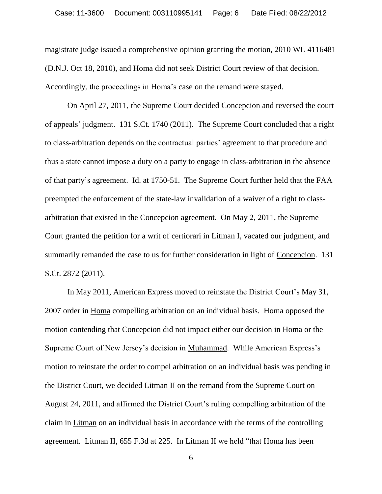magistrate judge issued a comprehensive opinion granting the motion, 2010 WL 4116481 (D.N.J. Oct 18, 2010), and Homa did not seek District Court review of that decision. Accordingly, the proceedings in Homa"s case on the remand were stayed.

On April 27, 2011, the Supreme Court decided Concepcion and reversed the court of appeals" judgment. 131 S.Ct. 1740 (2011). The Supreme Court concluded that a right to class-arbitration depends on the contractual parties" agreement to that procedure and thus a state cannot impose a duty on a party to engage in class-arbitration in the absence of that party"s agreement. Id. at 1750-51. The Supreme Court further held that the FAA preempted the enforcement of the state-law invalidation of a waiver of a right to classarbitration that existed in the Concepcion agreement. On May 2, 2011, the Supreme Court granted the petition for a writ of certiorari in Litman I, vacated our judgment, and summarily remanded the case to us for further consideration in light of Concepcion. 131 S.Ct. 2872 (2011).

In May 2011, American Express moved to reinstate the District Court's May 31, 2007 order in Homa compelling arbitration on an individual basis. Homa opposed the motion contending that Concepcion did not impact either our decision in Homa or the Supreme Court of New Jersey's decision in Muhammad. While American Express's motion to reinstate the order to compel arbitration on an individual basis was pending in the District Court, we decided Litman II on the remand from the Supreme Court on August 24, 2011, and affirmed the District Court's ruling compelling arbitration of the claim in Litman on an individual basis in accordance with the terms of the controlling agreement. Litman II, 655 F.3d at 225. In Litman II we held "that Homa has been

<sup>6</sup>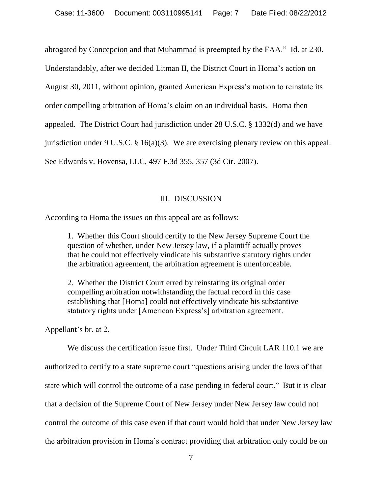abrogated by Concepcion and that Muhammad is preempted by the FAA." Id. at 230.

Understandably, after we decided Litman II, the District Court in Homa's action on

August 30, 2011, without opinion, granted American Express"s motion to reinstate its

order compelling arbitration of Homa"s claim on an individual basis. Homa then

appealed. The District Court had jurisdiction under 28 U.S.C. § 1332(d) and we have

jurisdiction under 9 U.S.C. § 16(a)(3). We are exercising plenary review on this appeal.

See Edwards v. Hovensa, LLC, 497 F.3d 355, 357 (3d Cir. 2007).

# III. DISCUSSION

According to Homa the issues on this appeal are as follows:

1. Whether this Court should certify to the New Jersey Supreme Court the question of whether, under New Jersey law, if a plaintiff actually proves that he could not effectively vindicate his substantive statutory rights under the arbitration agreement, the arbitration agreement is unenforceable.

2. Whether the District Court erred by reinstating its original order compelling arbitration notwithstanding the factual record in this case establishing that [Homa] could not effectively vindicate his substantive statutory rights under [American Express"s] arbitration agreement.

Appellant"s br. at 2.

We discuss the certification issue first. Under Third Circuit LAR 110.1 we are authorized to certify to a state supreme court "questions arising under the laws of that state which will control the outcome of a case pending in federal court." But it is clear that a decision of the Supreme Court of New Jersey under New Jersey law could not control the outcome of this case even if that court would hold that under New Jersey law the arbitration provision in Homa"s contract providing that arbitration only could be on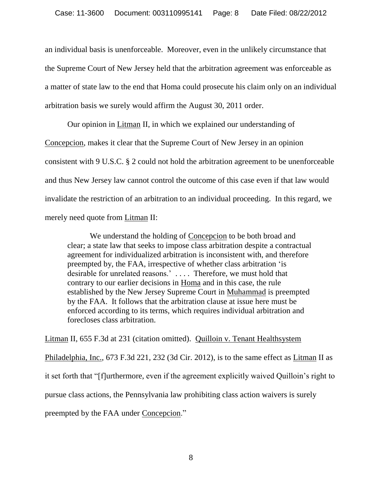an individual basis is unenforceable. Moreover, even in the unlikely circumstance that the Supreme Court of New Jersey held that the arbitration agreement was enforceable as a matter of state law to the end that Homa could prosecute his claim only on an individual arbitration basis we surely would affirm the August 30, 2011 order.

Our opinion in Litman II, in which we explained our understanding of Concepcion, makes it clear that the Supreme Court of New Jersey in an opinion consistent with 9 U.S.C. § 2 could not hold the arbitration agreement to be unenforceable and thus New Jersey law cannot control the outcome of this case even if that law would invalidate the restriction of an arbitration to an individual proceeding. In this regard, we merely need quote from Litman II:

We understand the holding of Concepcion to be both broad and clear; a state law that seeks to impose class arbitration despite a contractual agreement for individualized arbitration is inconsistent with, and therefore preempted by, the FAA, irrespective of whether class arbitration "is desirable for unrelated reasons.' . . . . Therefore, we must hold that contrary to our earlier decisions in Homa and in this case, the rule established by the New Jersey Supreme Court in Muhammad is preempted by the FAA. It follows that the arbitration clause at issue here must be enforced according to its terms, which requires individual arbitration and forecloses class arbitration.

Litman II, 655 F.3d at 231 (citation omitted). Quilloin v. Tenant Healthsystem Philadelphia, Inc., 673 F.3d 221, 232 (3d Cir. 2012), is to the same effect as Litman II as it set forth that "[f]urthermore, even if the agreement explicitly waived Quilloin"s right to pursue class actions, the Pennsylvania law prohibiting class action waivers is surely preempted by the FAA under Concepcion."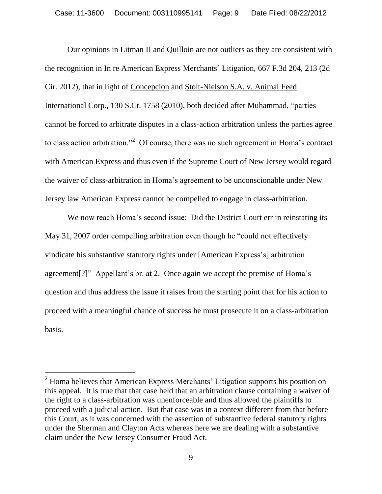Our opinions in Litman II and Quilloin are not outliers as they are consistent with the recognition in In re American Express Merchants" Litigation, 667 F.3d 204, 213 (2d Cir. 2012), that in light of Concepcion and Stolt-Nielson S.A. v. Animal Feed International Corp., 130 S.Ct. 1758 (2010), both decided after Muhammad, "parties cannot be forced to arbitrate disputes in a class-action arbitration unless the parties agree to class action arbitration."<sup>2</sup> Of course, there was no such agreement in Homa's contract with American Express and thus even if the Supreme Court of New Jersey would regard the waiver of class-arbitration in Homa"s agreement to be unconscionable under New Jersey law American Express cannot be compelled to engage in class-arbitration.

We now reach Homa's second issue: Did the District Court err in reinstating its May 31, 2007 order compelling arbitration even though he "could not effectively vindicate his substantive statutory rights under [American Express"s] arbitration agreement<sup>[?]"</sup> Appellant's br. at 2. Once again we accept the premise of Homa's question and thus address the issue it raises from the starting point that for his action to proceed with a meaningful chance of success he must prosecute it on a class-arbitration basis.

 $\overline{a}$ 

 $2$  Homa believes that American Express Merchants' Litigation supports his position on this appeal. It is true that that case held that an arbitration clause containing a waiver of the right to a class-arbitration was unenforceable and thus allowed the plaintiffs to proceed with a judicial action. But that case was in a context different from that before this Court, as it was concerned with the assertion of substantive federal statutory rights under the Sherman and Clayton Acts whereas here we are dealing with a substantive claim under the New Jersey Consumer Fraud Act.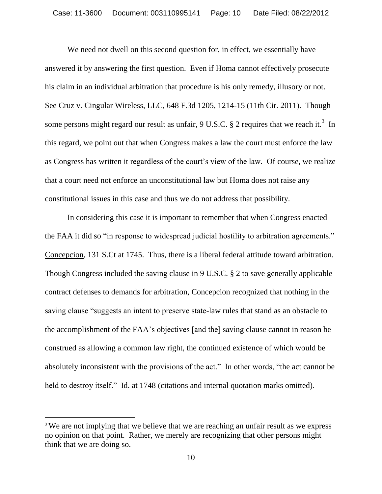We need not dwell on this second question for, in effect, we essentially have answered it by answering the first question. Even if Homa cannot effectively prosecute his claim in an individual arbitration that procedure is his only remedy, illusory or not. See Cruz v. Cingular Wireless, LLC, 648 F.3d 1205, 1214-15 (11th Cir. 2011). Though some persons might regard our result as unfair, 9 U.S.C.  $\S$  2 requires that we reach it.<sup>3</sup> In this regard, we point out that when Congress makes a law the court must enforce the law as Congress has written it regardless of the court's view of the law. Of course, we realize that a court need not enforce an unconstitutional law but Homa does not raise any constitutional issues in this case and thus we do not address that possibility.

In considering this case it is important to remember that when Congress enacted the FAA it did so "in response to widespread judicial hostility to arbitration agreements." Concepcion, 131 S.Ct at 1745. Thus, there is a liberal federal attitude toward arbitration. Though Congress included the saving clause in 9 U.S.C. § 2 to save generally applicable contract defenses to demands for arbitration, Concepcion recognized that nothing in the saving clause "suggests an intent to preserve state-law rules that stand as an obstacle to the accomplishment of the FAA"s objectives [and the] saving clause cannot in reason be construed as allowing a common law right, the continued existence of which would be absolutely inconsistent with the provisions of the act." In other words, "the act cannot be held to destroy itself." Id. at 1748 (citations and internal quotation marks omitted).

<sup>&</sup>lt;sup>3</sup> We are not implying that we believe that we are reaching an unfair result as we express no opinion on that point. Rather, we merely are recognizing that other persons might think that we are doing so.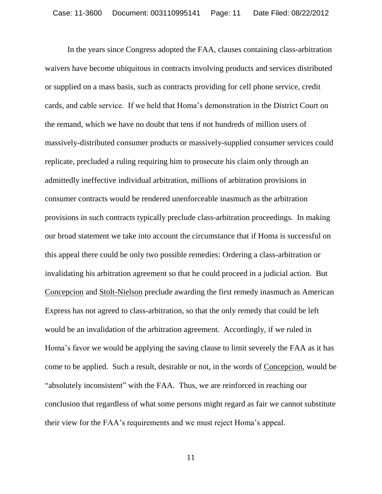In the years since Congress adopted the FAA, clauses containing class-arbitration waivers have become ubiquitous in contracts involving products and services distributed or supplied on a mass basis, such as contracts providing for cell phone service, credit cards, and cable service. If we held that Homa"s demonstration in the District Court on the remand, which we have no doubt that tens if not hundreds of million users of massively-distributed consumer products or massively-supplied consumer services could replicate, precluded a ruling requiring him to prosecute his claim only through an admittedly ineffective individual arbitration, millions of arbitration provisions in consumer contracts would be rendered unenforceable inasmuch as the arbitration provisions in such contracts typically preclude class-arbitration proceedings. In making our broad statement we take into account the circumstance that if Homa is successful on this appeal there could be only two possible remedies: Ordering a class-arbitration or invalidating his arbitration agreement so that he could proceed in a judicial action. But Concepcion and Stolt-Nielson preclude awarding the first remedy inasmuch as American Express has not agreed to class-arbitration, so that the only remedy that could be left would be an invalidation of the arbitration agreement. Accordingly, if we ruled in Homa"s favor we would be applying the saving clause to limit severely the FAA as it has come to be applied. Such a result, desirable or not, in the words of Concepcion, would be "absolutely inconsistent" with the FAA. Thus, we are reinforced in reaching our conclusion that regardless of what some persons might regard as fair we cannot substitute their view for the FAA"s requirements and we must reject Homa"s appeal.